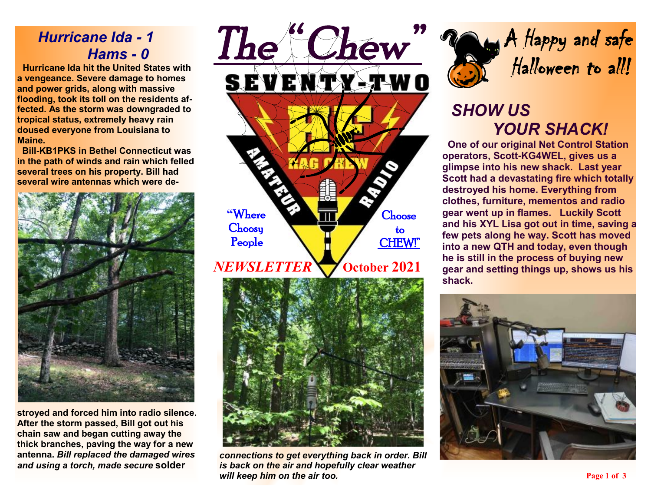## *Hurricane Ida - 1 Hams - 0*

 **Hurricane Ida hit the United States with a vengeance. Severe damage to homes and power grids, along with massive flooding, took its toll on the residents affected. As the storm was downgraded to tropical status, extremely heavy rain doused everyone from Louisiana to Maine.** 

 **Bill-KB1PKS in Bethel Connecticut was in the path of winds and rain which felled several trees on his property. Bill had several wire antennas which were de-**



**stroyed and forced him into radio silence. After the storm passed, Bill got out his chain saw and began cutting away the thick branches, paving the way for a new antenna.** *Bill replaced the damaged wires and using a torch, made secure* **solder** 





*connections to get everything back in order. Bill is back on the air and hopefully clear weather will keep him on the air too.* 



# *SHOW US YOUR SHACK!*

 **One of our original Net Control Station operators, Scott-KG4WEL, gives us a glimpse into his new shack. Last year Scott had a devastating fire which totally destroyed his home. Everything from clothes, furniture, mementos and radio gear went up in flames. Luckily Scott and his XYL Lisa got out in time, saving a few pets along he way. Scott has moved into a new QTH and today, even though he is still in the process of buying new gear and setting things up, shows us his shack.** 

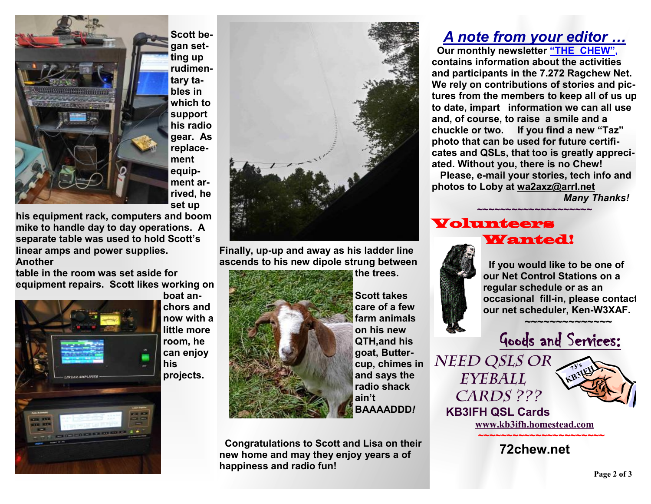

**Scott began setting up rudimentary tables in which to support his radio gear. As replacement equipment arrived, he set up** 

**his equipment rack, computers and boom mike to handle day to day operations. A separate table was used to hold Scott's linear amps and power supplies. Another** 

**table in the room was set aside for equipment repairs. Scott likes working on** 



**boat anchors and now with a little more room, he can enjoy his projects.**



**Finally, up-up and away as his ladder line ascends to his new dipole strung between** 



**Scott takes care of a few farm animals on his new QTH,and his goat, Buttercup, chimes in and says the radio shack ain't BAAAADDD***!*

**the trees.** 

 **Congratulations to Scott and Lisa on their new home and may they enjoy years a of happiness and radio fun!** 

### *A note from your editor …*

 **Our monthly newsletter "THE CHEW", contains information about the activities and participants in the 7.272 Ragchew Net. We rely on contributions of stories and pictures from the members to keep all of us up to date, impart information we can all use and, of course, to raise a smile and a chuckle or two. If you find a new "Taz" photo that can be used for future certificates and QSLs, that too is greatly appreciated. Without you, there is no Chew! Please, e-mail your stories, tech info and photos to Loby at [wa2axz@arrl.net](mailto:wa2axz@arrl.net)** 

**~~~~~~~~~~~~~~~~~~~~**

*Many Thanks!* 

#### Volunteers Wanted!



 **If you would like to be one of our Net Control Stations on a regular schedule or as an occasional fill-in, please contact our net scheduler, Ken-W3XAF.**

Goods and Services:

 **~~~~~~~~~~~~~~** 

*Need QSLs or Eyeball Cards ???* 



 **KB3IFH QSL Cards [www.kb3ifh.homestead.com](http://www.kb3ifh.homestead.com) ~~~~~~~~~~~~~~~~~~~~~~** 

**72chew.net**